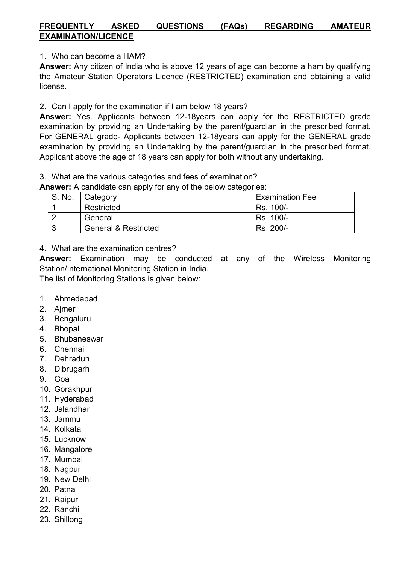## FREQUENTLY ASKED QUESTIONS (FAQs) REGARDING AMATEUR EXAMINATION/LICENCE

1. Who can become a HAM?

Answer: Any citizen of India who is above 12 years of age can become a ham by qualifying the Amateur Station Operators Licence (RESTRICTED) examination and obtaining a valid license.

2. Can I apply for the examination if I am below 18 years?

Answer: Yes. Applicants between 12-18years can apply for the RESTRICTED grade examination by providing an Undertaking by the parent/guardian in the prescribed format. For GENERAL grade- Applicants between 12-18years can apply for the GENERAL grade examination by providing an Undertaking by the parent/guardian in the prescribed format. Applicant above the age of 18 years can apply for both without any undertaking.

3. What are the various categories and fees of examination?

Answer: A candidate can apply for any of the below categories:

| S. No. | Category                        | <b>Examination Fee</b> |
|--------|---------------------------------|------------------------|
|        | Restricted                      | Rs. 100/-              |
|        | General                         | Rs 100/-               |
|        | <b>General &amp; Restricted</b> | Rs 200/-               |

## 4. What are the examination centres?

Answer: Examination may be conducted at any of the Wireless Monitoring Station/International Monitoring Station in India.

The list of Monitoring Stations is given below:

- 1. Ahmedabad
- 2. Ajmer
- 3. Bengaluru
- 4. Bhopal
- 5. Bhubaneswar
- 6. Chennai
- 7. Dehradun
- 8. Dibrugarh
- 9. Goa
- 10. Gorakhpur
- 11. Hyderabad
- 12. Jalandhar
- 13. Jammu
- 14. Kolkata
- 15. Lucknow
- 16. Mangalore
- 17. Mumbai
- 18. Nagpur
- 19. New Delhi
- 20. Patna
- 21. Raipur
- 22. Ranchi
- 23. Shillong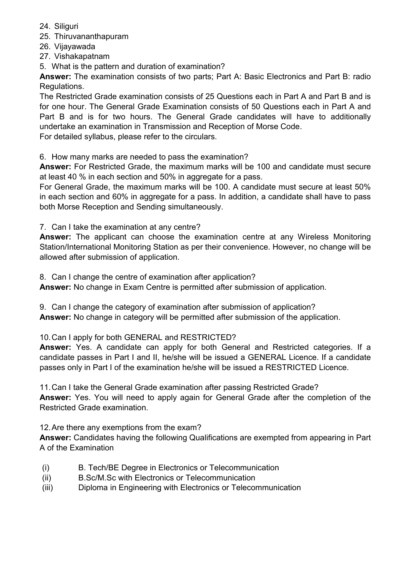- 24. Siliguri
- 25. Thiruvananthapuram
- 26. Vijayawada
- 27. Vishakapatnam
- 5. What is the pattern and duration of examination?

Answer: The examination consists of two parts; Part A: Basic Electronics and Part B: radio Regulations.

The Restricted Grade examination consists of 25 Questions each in Part A and Part B and is for one hour. The General Grade Examination consists of 50 Questions each in Part A and Part B and is for two hours. The General Grade candidates will have to additionally undertake an examination in Transmission and Reception of Morse Code. For detailed syllabus, please refer to the circulars.

6. How many marks are needed to pass the examination?

Answer: For Restricted Grade, the maximum marks will be 100 and candidate must secure at least 40 % in each section and 50% in aggregate for a pass.

For General Grade, the maximum marks will be 100. A candidate must secure at least 50% in each section and 60% in aggregate for a pass. In addition, a candidate shall have to pass both Morse Reception and Sending simultaneously.

7. Can I take the examination at any centre?

Answer: The applicant can choose the examination centre at any Wireless Monitoring Station/International Monitoring Station as per their convenience. However, no change will be allowed after submission of application.

8. Can I change the centre of examination after application?

Answer: No change in Exam Centre is permitted after submission of application.

9. Can I change the category of examination after submission of application?

Answer: No change in category will be permitted after submission of the application.

## 10.Can I apply for both GENERAL and RESTRICTED?

Answer: Yes. A candidate can apply for both General and Restricted categories. If a candidate passes in Part I and II, he/she will be issued a GENERAL Licence. If a candidate passes only in Part I of the examination he/she will be issued a RESTRICTED Licence.

11.Can I take the General Grade examination after passing Restricted Grade?

Answer: Yes. You will need to apply again for General Grade after the completion of the Restricted Grade examination.

12.Are there any exemptions from the exam?

Answer: Candidates having the following Qualifications are exempted from appearing in Part A of the Examination

- (i) B. Tech/BE Degree in Electronics or Telecommunication
- (ii) B.Sc/M.Sc with Electronics or Telecommunication
- (iii) Diploma in Engineering with Electronics or Telecommunication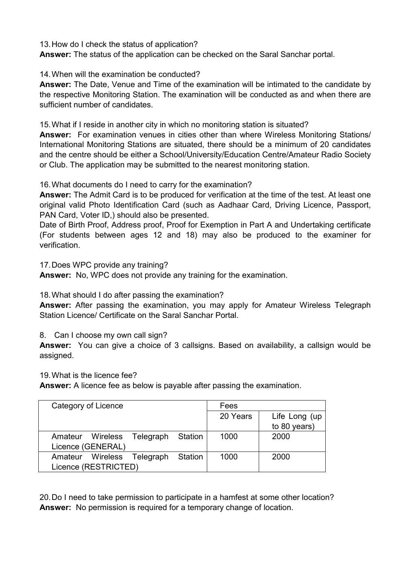13.How do I check the status of application?

Answer: The status of the application can be checked on the Saral Sanchar portal.

14.When will the examination be conducted?

Answer: The Date, Venue and Time of the examination will be intimated to the candidate by the respective Monitoring Station. The examination will be conducted as and when there are sufficient number of candidates.

15.What if I reside in another city in which no monitoring station is situated?

Answer: For examination venues in cities other than where Wireless Monitoring Stations/ International Monitoring Stations are situated, there should be a minimum of 20 candidates and the centre should be either a School/University/Education Centre/Amateur Radio Society or Club. The application may be submitted to the nearest monitoring station.

16.What documents do I need to carry for the examination?

Answer: The Admit Card is to be produced for verification at the time of the test. At least one original valid Photo Identification Card (such as Aadhaar Card, Driving Licence, Passport, PAN Card, Voter ID,) should also be presented.

Date of Birth Proof, Address proof, Proof for Exemption in Part A and Undertaking certificate (For students between ages 12 and 18) may also be produced to the examiner for verification.

17.Does WPC provide any training?

Answer: No, WPC does not provide any training for the examination.

18.What should I do after passing the examination?

Answer: After passing the examination, you may apply for Amateur Wireless Telegraph Station Licence/ Certificate on the Saral Sanchar Portal.

8. Can I choose my own call sign?

Answer: You can give a choice of 3 callsigns. Based on availability, a callsign would be assigned.

19.What is the licence fee?

Answer: A licence fee as below is payable after passing the examination.

| Category of Licence                |  |         | Fees     |               |
|------------------------------------|--|---------|----------|---------------|
|                                    |  |         | 20 Years | Life Long (up |
|                                    |  |         |          | to 80 years)  |
| Amateur Wireless Telegraph Station |  |         | 1000     | 2000          |
| Licence (GENERAL)                  |  |         |          |               |
| Amateur Wireless Telegraph         |  | Station | 1000     | 2000          |
| Licence (RESTRICTED)               |  |         |          |               |

20.Do I need to take permission to participate in a hamfest at some other location? Answer: No permission is required for a temporary change of location.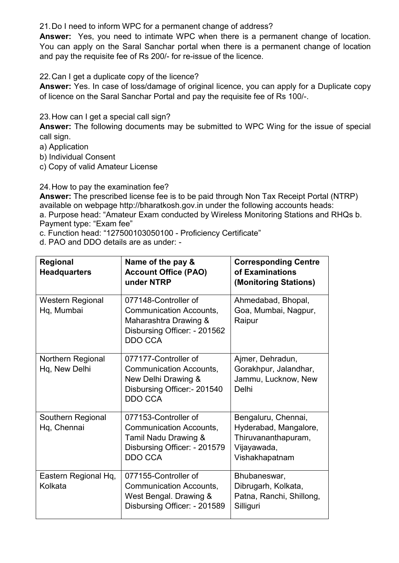21.Do I need to inform WPC for a permanent change of address?

Answer: Yes, you need to intimate WPC when there is a permanent change of location. You can apply on the Saral Sanchar portal when there is a permanent change of location and pay the requisite fee of Rs 200/- for re-issue of the licence.

22.Can I get a duplicate copy of the licence?

Answer: Yes. In case of loss/damage of original licence, you can apply for a Duplicate copy of licence on the Saral Sanchar Portal and pay the requisite fee of Rs 100/-.

23.How can I get a special call sign?

Answer: The following documents may be submitted to WPC Wing for the issue of special call sign.

a) Application

b) Individual Consent

c) Copy of valid Amateur License

24.How to pay the examination fee?

Answer: The prescribed license fee is to be paid through Non Tax Receipt Portal (NTRP) available on webpage http://bharatkosh.gov.in under the following accounts heads:

a. Purpose head: "Amateur Exam conducted by Wireless Monitoring Stations and RHQs b. Payment type: "Exam fee"

c. Function head: "127500103050100 - Proficiency Certificate"

d. PAO and DDO details are as under: -

| Regional<br><b>Headquarters</b>           | Name of the pay &<br><b>Account Office (PAO)</b><br>under NTRP                                                                    | <b>Corresponding Centre</b><br>of Examinations<br>(Monitoring Stations)                              |
|-------------------------------------------|-----------------------------------------------------------------------------------------------------------------------------------|------------------------------------------------------------------------------------------------------|
| <b>Western Regional</b><br>Hq, Mumbai     | 077148-Controller of<br><b>Communication Accounts,</b><br>Maharashtra Drawing &<br>Disbursing Officer: - 201562<br><b>DDO CCA</b> | Ahmedabad, Bhopal,<br>Goa, Mumbai, Nagpur,<br>Raipur                                                 |
| <b>Northern Regional</b><br>Hq, New Delhi | 077177-Controller of<br><b>Communication Accounts,</b><br>New Delhi Drawing &<br>Disbursing Officer:- 201540<br><b>DDO CCA</b>    | Ajmer, Dehradun,<br>Gorakhpur, Jalandhar,<br>Jammu, Lucknow, New<br>Delhi                            |
| Southern Regional<br>Hq, Chennai          | 077153-Controller of<br><b>Communication Accounts,</b><br>Tamil Nadu Drawing &<br>Disbursing Officer: - 201579<br><b>DDO CCA</b>  | Bengaluru, Chennai,<br>Hyderabad, Mangalore,<br>Thiruvananthapuram,<br>Vijayawada,<br>Vishakhapatnam |
| Eastern Regional Hq,<br>Kolkata           | 077155-Controller of<br><b>Communication Accounts,</b><br>West Bengal. Drawing &<br>Disbursing Officer: - 201589                  | Bhubaneswar,<br>Dibrugarh, Kolkata,<br>Patna, Ranchi, Shillong,<br>Silliguri                         |